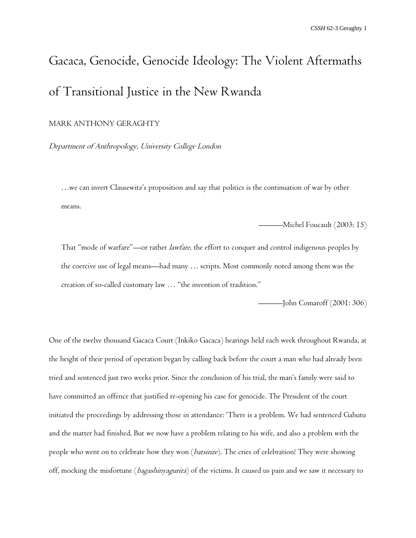# Gacaca, Genocide, Genocide Ideology: The Violent Aftermaths of Transitional Justice in the New Rwanda

## MARK ANTHONY GERAGHTY

Department of Anthropology, University College London

…we can invert Clausewitz's proposition and say that politics is the continuation of war by other means.

———Michel Foucault (2003: 15)

That "mode of warfare"—or rather *lawfare*, the effort to conquer and control indigenous peoples by the coercive use of legal means—had many … scripts. Most commonly noted among them was the creation of so-called customary law … "the invention of tradition."

———John Comaroff (2001: 306)

One of the twelve thousand Gacaca Court (Inkiko Gacaca) hearings held each week throughout Rwanda, at the height of their period of operation began by calling back before the court a man who had already been tried and sentenced just two weeks prior. Since the conclusion of his trial, the man's family were said to have committed an offence that justified re-opening his case for genocide. The President of the court initiated the proceedings by addressing those in attendance: 'There is a problem. We had sentenced Gahutu and the matter had finished. But we now have a problem relating to his wife, and also a problem with the people who went on to celebrate how they won (*batsinze*). The cries of celebration! They were showing off, mocking the misfortune (*bagashinyagurira*) of the victims. It caused us pain and we saw it necessary to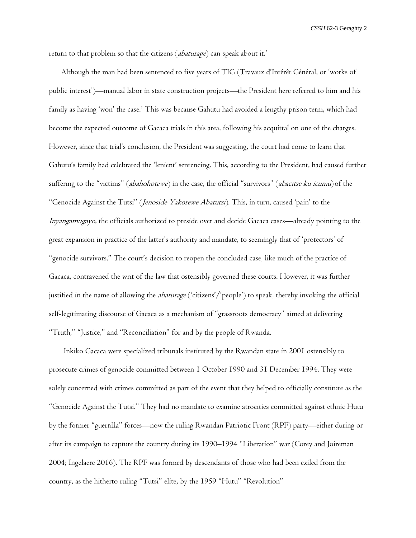return to that problem so that the citizens (abaturage) can speak about it.'

Although the man had been sentenced to five years of TIG (Travaux d'Intérêt Général, or 'works of public interest')—manual labor in state construction projects—the President here referred to him and his family as having 'won' the case.<sup>1</sup> This was because Gahutu had avoided a lengthy prison term, which had become the expected outcome of Gacaca trials in this area, following his acquittal on one of the charges. However, since that trial's conclusion, the President was suggesting, the court had come to learn that Gahutu's family had celebrated the 'lenient' sentencing. This, according to the President, had caused further suffering to the "victims" (abahohotewe) in the case, the official "survivors" (abacitse ku icumu) of the "Genocide Against the Tutsi" (Jenoside Yakorewe Abatutsi). This, in turn, caused 'pain' to the Inyangamugayo, the officials authorized to preside over and decide Gacaca cases—already pointing to the great expansion in practice of the latter's authority and mandate, to seemingly that of 'protectors' of "genocide survivors." The court's decision to reopen the concluded case, like much of the practice of Gacaca, contravened the writ of the law that ostensibly governed these courts. However, it was further justified in the name of allowing the *abaturage* ('citizens'/'people') to speak, thereby invoking the official self-legitimating discourse of Gacaca as a mechanism of "grassroots democracy" aimed at delivering "Truth," "Justice," and "Reconciliation" for and by the people of Rwanda.

Inkiko Gacaca were specialized tribunals instituted by the Rwandan state in 2001 ostensibly to prosecute crimes of genocide committed between 1 October 1990 and 31 December 1994. They were solely concerned with crimes committed as part of the event that they helped to officially constitute as the "Genocide Against the Tutsi." They had no mandate to examine atrocities committed against ethnic Hutu by the former "guerrilla" forces—now the ruling Rwandan Patriotic Front (RPF) party—either during or after its campaign to capture the country during its 1990–1994 "Liberation" war (Corey and Joireman 2004; Ingelaere 2016). The RPF was formed by descendants of those who had been exiled from the country, as the hitherto ruling "Tutsi" elite, by the 1959 "Hutu" "Revolution"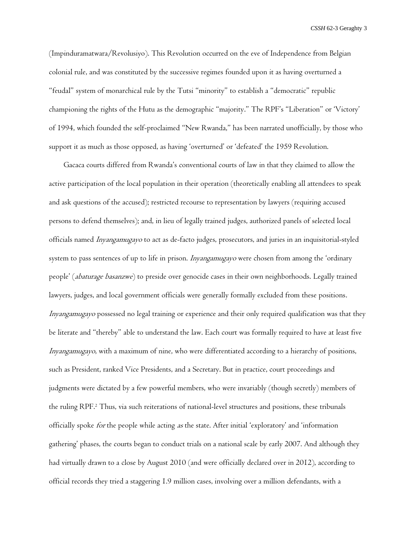(Impinduramatwara/Revolusiyo). This Revolution occurred on the eve of Independence from Belgian colonial rule, and was constituted by the successive regimes founded upon it as having overturned a "feudal" system of monarchical rule by the Tutsi "minority" to establish a "democratic" republic championing the rights of the Hutu as the demographic "majority." The RPF's "Liberation" or 'Victory' of 1994, which founded the self-proclaimed "New Rwanda," has been narrated unofficially, by those who support it as much as those opposed, as having 'overturned' or 'defeated' the 1959 Revolution.

Gacaca courts differed from Rwanda's conventional courts of law in that they claimed to allow the active participation of the local population in their operation (theoretically enabling all attendees to speak and ask questions of the accused); restricted recourse to representation by lawyers (requiring accused persons to defend themselves); and, in lieu of legally trained judges, authorized panels of selected local officials named Inyangamugayo to act as de-facto judges, prosecutors, and juries in an inquisitorial-styled system to pass sentences of up to life in prison. *Inyangamugayo* were chosen from among the 'ordinary people' (abaturage basanzwe) to preside over genocide cases in their own neighborhoods. Legally trained lawyers, judges, and local government officials were generally formally excluded from these positions. Inyangamugayo possessed no legal training or experience and their only required qualification was that they be literate and "thereby" able to understand the law. Each court was formally required to have at least five Inyangamugayo, with a maximum of nine, who were differentiated according to a hierarchy of positions, such as President, ranked Vice Presidents, and a Secretary. But in practice, court proceedings and judgments were dictated by a few powerful members, who were invariably (though secretly) members of the ruling RPF.<sup>2</sup> Thus, via such reiterations of national-level structures and positions, these tribunals officially spoke for the people while acting as the state. After initial 'exploratory' and 'information gathering' phases, the courts began to conduct trials on a national scale by early 2007. And although they had virtually drawn to a close by August 2010 (and were officially declared over in 2012), according to official records they tried a staggering 1.9 million cases, involving over a million defendants, with a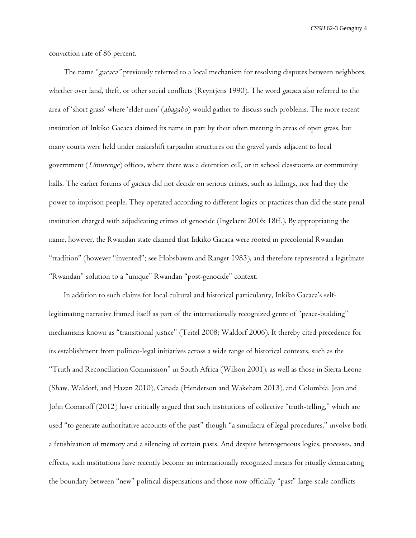conviction rate of 86 percent.

The name "gacaca" previously referred to a local mechanism for resolving disputes between neighbors, whether over land, theft, or other social conflicts (Reyntjens 1990). The word *gacaca* also referred to the area of 'short grass' where 'elder men' (abagabo) would gather to discuss such problems. The more recent institution of Inkiko Gacaca claimed its name in part by their often meeting in areas of open grass, but many courts were held under makeshift tarpaulin structures on the gravel yards adjacent to local government (Umurenge) offices, where there was a detention cell, or in school classrooms or community halls. The earlier forums of gacaca did not decide on serious crimes, such as killings, nor had they the power to imprison people. They operated according to different logics or practices than did the state penal institution charged with adjudicating crimes of genocide (Ingelaere 2016: 18ff.). By appropriating the name, however, the Rwandan state claimed that Inkiko Gacaca were rooted in precolonial Rwandan "tradition" (however "invented"; see Hobsbawm and Ranger 1983), and therefore represented a legitimate "Rwandan" solution to a "unique" Rwandan "post-genocide" context.

In addition to such claims for local cultural and historical particularity, Inkiko Gacaca's selflegitimating narrative framed itself as part of the internationally recognized genre of "peace-building" mechanisms known as "transitional justice" (Teitel 2008; Waldorf 2006). It thereby cited precedence for its establishment from politico-legal initiatives across a wide range of historical contexts, such as the "Truth and Reconciliation Commission" in South Africa (Wilson 2001), as well as those in Sierra Leone (Shaw, Waldorf, and Hazan 2010), Canada (Henderson and Wakeham 2013), and Colombia. Jean and John Comaroff (2012) have critically argued that such institutions of collective "truth-telling," which are used "to generate authoritative accounts of the past" though "a simulacra of legal procedures," involve both a fetishization of memory and a silencing of certain pasts. And despite heterogeneous logics, processes, and effects, such institutions have recently become an internationally recognized means for ritually demarcating the boundary between "new" political dispensations and those now officially "past" large-scale conflicts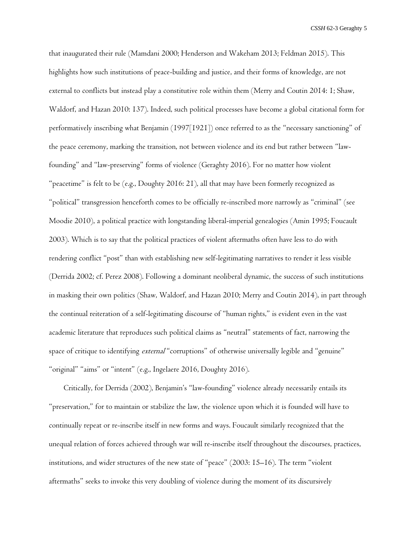that inaugurated their rule (Mamdani 2000; Henderson and Wakeham 2013; Feldman 2015). This highlights how such institutions of peace-building and justice, and their forms of knowledge, are not external to conflicts but instead play a constitutive role within them (Merry and Coutin 2014: 1; Shaw, Waldorf, and Hazan 2010: 137). Indeed, such political processes have become a global citational form for performatively inscribing what Benjamin (1997[1921]) once referred to as the "necessary sanctioning" of the peace ceremony, marking the transition, not between violence and its end but rather between "lawfounding" and "law-preserving" forms of violence (Geraghty 2016). For no matter how violent "peacetime" is felt to be (e.g., Doughty 2016: 21), all that may have been formerly recognized as "political" transgression henceforth comes to be officially re-inscribed more narrowly as "criminal" (see Moodie 2010), a political practice with longstanding liberal-imperial genealogies (Amin 1995; Foucault 2003). Which is to say that the political practices of violent aftermaths often have less to do with rendering conflict "post" than with establishing new self-legitimating narratives to render it less visible (Derrida 2002; cf. Perez 2008). Following a dominant neoliberal dynamic, the success of such institutions in masking their own politics (Shaw, Waldorf, and Hazan 2010; Merry and Coutin 2014), in part through the continual reiteration of a self-legitimating discourse of "human rights," is evident even in the vast academic literature that reproduces such political claims as "neutral" statements of fact, narrowing the space of critique to identifying *external* "corruptions" of otherwise universally legible and "genuine" "original" "aims" or "intent" (e.g., Ingelaere 2016, Doughty 2016).

Critically, for Derrida (2002), Benjamin's "law-founding" violence already necessarily entails its "preservation," for to maintain or stabilize the law, the violence upon which it is founded will have to continually repeat or re-inscribe itself in new forms and ways. Foucault similarly recognized that the unequal relation of forces achieved through war will re-inscribe itself throughout the discourses, practices, institutions, and wider structures of the new state of "peace" (2003: 15–16). The term "violent aftermaths" seeks to invoke this very doubling of violence during the moment of its discursively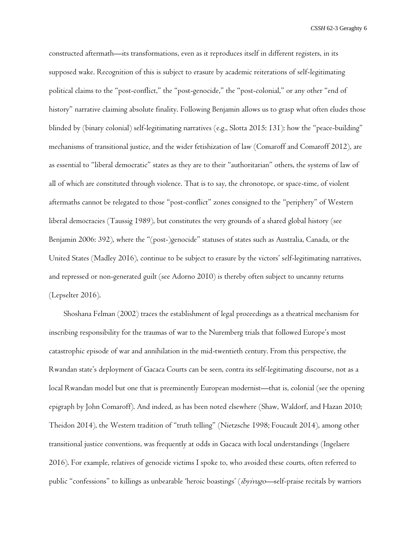constructed aftermath—its transformations, even as it reproduces itself in different registers, in its supposed wake. Recognition of this is subject to erasure by academic reiterations of self-legitimating political claims to the "post-conflict," the "post-genocide," the "post-colonial," or any other "end of history" narrative claiming absolute finality. Following Benjamin allows us to grasp what often eludes those blinded by (binary colonial) self-legitimating narratives (e.g., Slotta 2015: 131): how the "peace-building" mechanisms of transitional justice, and the wider fetishization of law (Comaroff and Comaroff 2012), are as essential to "liberal democratic" states as they are to their "authoritarian" others, the systems of law of all of which are constituted through violence. That is to say, the chronotope, or space-time, of violent aftermaths cannot be relegated to those "post-conflict" zones consigned to the "periphery" of Western liberal democracies (Taussig 1989), but constitutes the very grounds of a shared global history (see Benjamin 2006: 392), where the "(post-)genocide" statuses of states such as Australia, Canada, or the United States (Madley 2016), continue to be subject to erasure by the victors' self-legitimating narratives, and repressed or non-generated guilt (see Adorno 2010) is thereby often subject to uncanny returns (Lepselter 2016).

Shoshana Felman (2002) traces the establishment of legal proceedings as a theatrical mechanism for inscribing responsibility for the traumas of war to the Nuremberg trials that followed Europe's most catastrophic episode of war and annihilation in the mid-twentieth century. From this perspective, the Rwandan state's deployment of Gacaca Courts can be seen, contra its self-legitimating discourse, not as a local Rwandan model but one that is preeminently European modernist—that is, colonial (see the opening epigraph by John Comaroff). And indeed, as has been noted elsewhere (Shaw, Waldorf, and Hazan 2010; Theidon 2014), the Western tradition of "truth telling" (Nietzsche 1998; Foucault 2014), among other transitional justice conventions, was frequently at odds in Gacaca with local understandings (Ingelaere 2016). For example, relatives of genocide victims I spoke to, who avoided these courts, often referred to public "confessions" to killings as unbearable 'heroic boastings' (ibyivugo—self-praise recitals by warriors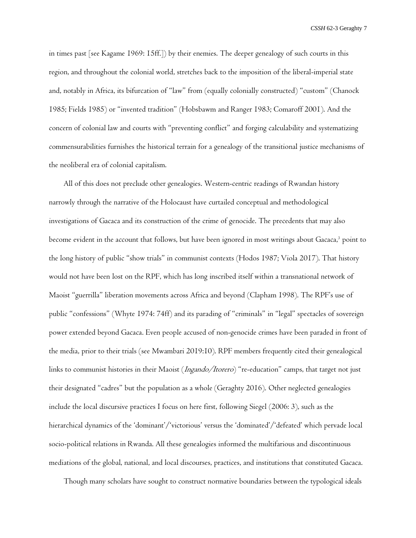in times past [see Kagame 1969: 15ff.]) by their enemies. The deeper genealogy of such courts in this region, and throughout the colonial world, stretches back to the imposition of the liberal-imperial state and, notably in Africa, its bifurcation of "law" from (equally colonially constructed) "custom" (Chanock 1985; Fields 1985) or "invented tradition" (Hobsbawm and Ranger 1983; Comaroff 2001). And the concern of colonial law and courts with "preventing conflict" and forging calculability and systematizing commensurabilities furnishes the historical terrain for a genealogy of the transitional justice mechanisms of the neoliberal era of colonial capitalism.

All of this does not preclude other genealogies. Western-centric readings of Rwandan history narrowly through the narrative of the Holocaust have curtailed conceptual and methodological investigations of Gacaca and its construction of the crime of genocide. The precedents that may also become evident in the account that follows, but have been ignored in most writings about Gacaca,<sup>3</sup> point to the long history of public "show trials" in communist contexts (Hodos 1987; Viola 2017). That history would not have been lost on the RPF, which has long inscribed itself within a transnational network of Maoist "guerrilla" liberation movements across Africa and beyond (Clapham 1998). The RPF's use of public "confessions" (Whyte 1974: 74ff) and its parading of "criminals" in "legal" spectacles of sovereign power extended beyond Gacaca. Even people accused of non-genocide crimes have been paraded in front of the media, prior to their trials (see Mwambari 2019:10). RPF members frequently cited their genealogical links to communist histories in their Maoist (Ingando/Itorero) "re-education" camps, that target not just their designated "cadres" but the population as a whole (Geraghty 2016). Other neglected genealogies include the local discursive practices I focus on here first, following Siegel (2006: 3), such as the hierarchical dynamics of the 'dominant'/'victorious' versus the 'dominated'/'defeated' which pervade local socio-political relations in Rwanda. All these genealogies informed the multifarious and discontinuous mediations of the global, national, and local discourses, practices, and institutions that constituted Gacaca.

Though many scholars have sought to construct normative boundaries between the typological ideals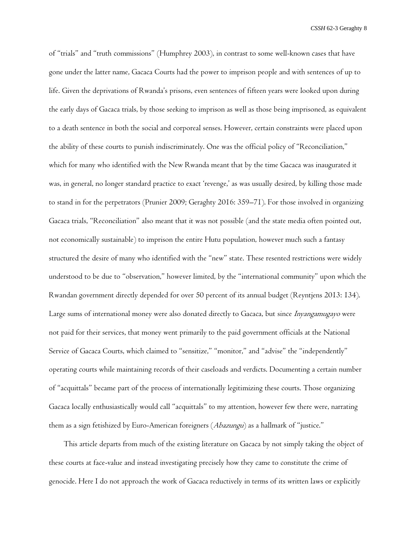of "trials" and "truth commissions" (Humphrey 2003), in contrast to some well-known cases that have gone under the latter name, Gacaca Courts had the power to imprison people and with sentences of up to life. Given the deprivations of Rwanda's prisons, even sentences of fifteen years were looked upon during the early days of Gacaca trials, by those seeking to imprison as well as those being imprisoned, as equivalent to a death sentence in both the social and corporeal senses. However, certain constraints were placed upon the ability of these courts to punish indiscriminately. One was the official policy of "Reconciliation," which for many who identified with the New Rwanda meant that by the time Gacaca was inaugurated it was, in general, no longer standard practice to exact 'revenge,' as was usually desired, by killing those made to stand in for the perpetrators (Prunier 2009; Geraghty 2016: 359–71). For those involved in organizing Gacaca trials, "Reconciliation" also meant that it was not possible (and the state media often pointed out, not economically sustainable) to imprison the entire Hutu population, however much such a fantasy structured the desire of many who identified with the "new" state. These resented restrictions were widely understood to be due to "observation," however limited, by the "international community" upon which the Rwandan government directly depended for over 50 percent of its annual budget (Reyntjens 2013: 134). Large sums of international money were also donated directly to Gacaca, but since *Inyangamugayo* were not paid for their services, that money went primarily to the paid government officials at the National Service of Gacaca Courts, which claimed to "sensitize," "monitor," and "advise" the "independently" operating courts while maintaining records of their caseloads and verdicts. Documenting a certain number of "acquittals" became part of the process of internationally legitimizing these courts. Those organizing Gacaca locally enthusiastically would call "acquittals" to my attention, however few there were, narrating them as a sign fetishized by Euro-American foreigners (Abazungu) as a hallmark of "justice."

This article departs from much of the existing literature on Gacaca by not simply taking the object of these courts at face-value and instead investigating precisely how they came to constitute the crime of genocide. Here I do not approach the work of Gacaca reductively in terms of its written laws or explicitly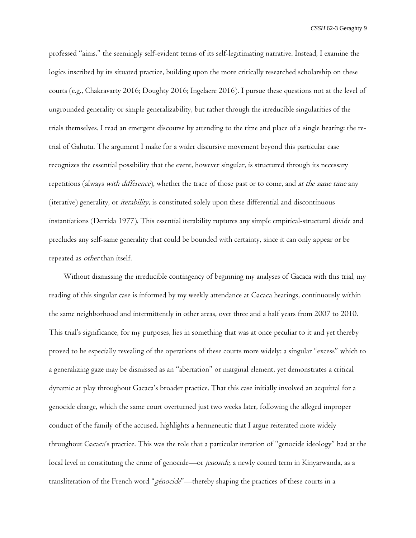professed "aims," the seemingly self-evident terms of its self-legitimating narrative. Instead, I examine the logics inscribed by its situated practice, building upon the more critically researched scholarship on these courts (e.g., Chakravarty 2016; Doughty 2016; Ingelaere 2016). I pursue these questions not at the level of ungrounded generality or simple generalizability, but rather through the irreducible singularities of the trials themselves. I read an emergent discourse by attending to the time and place of a single hearing: the retrial of Gahutu. The argument I make for a wider discursive movement beyond this particular case recognizes the essential possibility that the event, however singular, is structured through its necessary repetitions (always with difference), whether the trace of those past or to come, and at the same time any (iterative) generality, or iterability, is constituted solely upon these differential and discontinuous instantiations (Derrida 1977). This essential iterability ruptures any simple empirical-structural divide and precludes any self-same generality that could be bounded with certainty, since it can only appear or be repeated as other than itself.

Without dismissing the irreducible contingency of beginning my analyses of Gacaca with this trial, my reading of this singular case is informed by my weekly attendance at Gacaca hearings, continuously within the same neighborhood and intermittently in other areas, over three and a half years from 2007 to 2010. This trial's significance, for my purposes, lies in something that was at once peculiar to it and yet thereby proved to be especially revealing of the operations of these courts more widely: a singular "excess" which to a generalizing gaze may be dismissed as an "aberration" or marginal element, yet demonstrates a critical dynamic at play throughout Gacaca's broader practice. That this case initially involved an acquittal for a genocide charge, which the same court overturned just two weeks later, following the alleged improper conduct of the family of the accused, highlights a hermeneutic that I argue reiterated more widely throughout Gacaca's practice. This was the role that a particular iteration of "genocide ideology" had at the local level in constituting the crime of genocide—or *jenoside*, a newly coined term in Kinyarwanda, as a transliteration of the French word "génocide"—thereby shaping the practices of these courts in a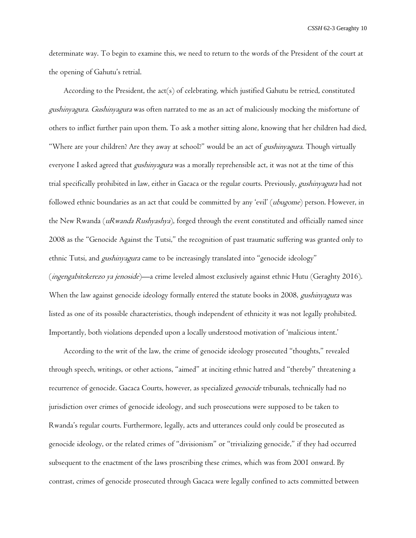determinate way. To begin to examine this, we need to return to the words of the President of the court at the opening of Gahutu's retrial.

According to the President, the act(s) of celebrating, which justified Gahutu be retried, constituted gushinyagura. Gushinyagura was often narrated to me as an act of maliciously mocking the misfortune of others to inflict further pain upon them. To ask a mother sitting alone, knowing that her children had died, "Where are your children? Are they away at school?" would be an act of *gushinyagura*. Though virtually everyone I asked agreed that *gushinyagura* was a morally reprehensible act, it was not at the time of this trial specifically prohibited in law, either in Gacaca or the regular courts. Previously, gushinyagura had not followed ethnic boundaries as an act that could be committed by any 'evil' (ubugome) person. However, in the New Rwanda (uRwanda Rushyashya), forged through the event constituted and officially named since 2008 as the "Genocide Against the Tutsi," the recognition of past traumatic suffering was granted only to ethnic Tutsi, and *gushinyagura* came to be increasingly translated into "genocide ideology" (ingengabitekerezo ya jenoside)—a crime leveled almost exclusively against ethnic Hutu (Geraghty 2016). When the law against genocide ideology formally entered the statute books in 2008, *gushinyagura* was listed as one of its possible characteristics, though independent of ethnicity it was not legally prohibited. Importantly, both violations depended upon a locally understood motivation of 'malicious intent.'

According to the writ of the law, the crime of genocide ideology prosecuted "thoughts," revealed through speech, writings, or other actions, "aimed" at inciting ethnic hatred and "thereby" threatening a recurrence of genocide. Gacaca Courts, however, as specialized genocide tribunals, technically had no jurisdiction over crimes of genocide ideology, and such prosecutions were supposed to be taken to Rwanda's regular courts. Furthermore, legally, acts and utterances could only could be prosecuted as genocide ideology, or the related crimes of "divisionism" or "trivializing genocide," if they had occurred subsequent to the enactment of the laws proscribing these crimes, which was from 2001 onward. By contrast, crimes of genocide prosecuted through Gacaca were legally confined to acts committed between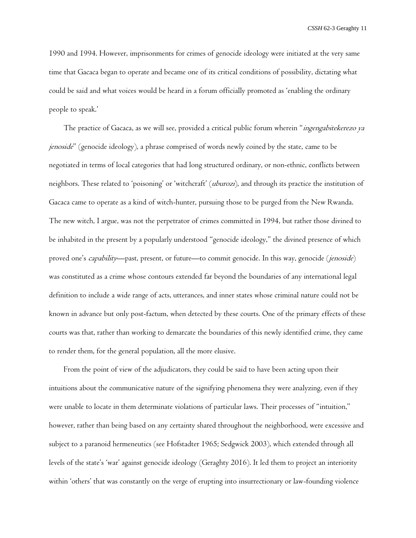1990 and 1994. However, imprisonments for crimes of genocide ideology were initiated at the very same time that Gacaca began to operate and became one of its critical conditions of possibility, dictating what could be said and what voices would be heard in a forum officially promoted as 'enabling the ordinary people to speak.'

The practice of Gacaca, as we will see, provided a critical public forum wherein "*ingengabitekerezo ya* jenoside" (genocide ideology), a phrase comprised of words newly coined by the state, came to be negotiated in terms of local categories that had long structured ordinary, or non-ethnic, conflicts between neighbors. These related to 'poisoning' or 'witchcraft' (uburozi), and through its practice the institution of Gacaca came to operate as a kind of witch-hunter, pursuing those to be purged from the New Rwanda. The new witch, I argue, was not the perpetrator of crimes committed in 1994, but rather those divined to be inhabited in the present by a popularly understood "genocide ideology," the divined presence of which proved one's capability--past, present, or future--to commit genocide. In this way, genocide (jenoside) was constituted as a crime whose contours extended far beyond the boundaries of any international legal definition to include a wide range of acts, utterances, and inner states whose criminal nature could not be known in advance but only post-factum, when detected by these courts. One of the primary effects of these courts was that, rather than working to demarcate the boundaries of this newly identified crime, they came to render them, for the general population, all the more elusive.

From the point of view of the adjudicators, they could be said to have been acting upon their intuitions about the communicative nature of the signifying phenomena they were analyzing, even if they were unable to locate in them determinate violations of particular laws. Their processes of "intuition," however, rather than being based on any certainty shared throughout the neighborhood, were excessive and subject to a paranoid hermeneutics (see Hofstadter 1965; Sedgwick 2003), which extended through all levels of the state's 'war' against genocide ideology (Geraghty 2016). It led them to project an interiority within 'others' that was constantly on the verge of erupting into insurrectionary or law-founding violence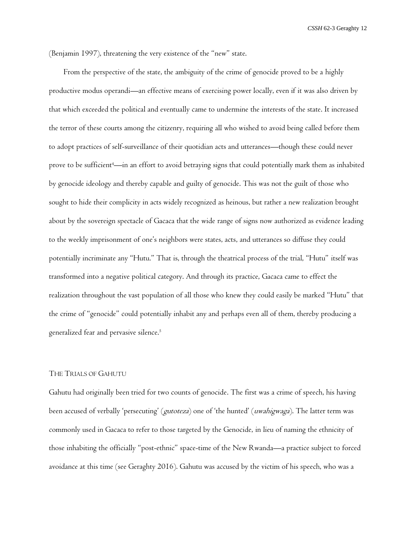(Benjamin 1997), threatening the very existence of the "new" state.

From the perspective of the state, the ambiguity of the crime of genocide proved to be a highly productive modus operandi—an effective means of exercising power locally, even if it was also driven by that which exceeded the political and eventually came to undermine the interests of the state. It increased the terror of these courts among the citizenry, requiring all who wished to avoid being called before them to adopt practices of self-surveillance of their quotidian acts and utterances—though these could never prove to be sufficient<sup>4</sup>—in an effort to avoid betraying signs that could potentially mark them as inhabited by genocide ideology and thereby capable and guilty of genocide. This was not the guilt of those who sought to hide their complicity in acts widely recognized as heinous, but rather a new realization brought about by the sovereign spectacle of Gacaca that the wide range of signs now authorized as evidence leading to the weekly imprisonment of one's neighbors were states, acts, and utterances so diffuse they could potentially incriminate any "Hutu." That is, through the theatrical process of the trial, "Hutu" itself was transformed into a negative political category. And through its practice, Gacaca came to effect the realization throughout the vast population of all those who knew they could easily be marked "Hutu" that the crime of "genocide" could potentially inhabit any and perhaps even all of them, thereby producing a generalized fear and pervasive silence.<sup>5</sup>

## THE TRIALS OF GAHUTU

Gahutu had originally been tried for two counts of genocide. The first was a crime of speech, his having been accused of verbally 'persecuting' (gutoteza) one of 'the hunted' (uwahigwaga). The latter term was commonly used in Gacaca to refer to those targeted by the Genocide, in lieu of naming the ethnicity of those inhabiting the officially "post-ethnic" space-time of the New Rwanda—a practice subject to forced avoidance at this time (see Geraghty 2016). Gahutu was accused by the victim of his speech, who was a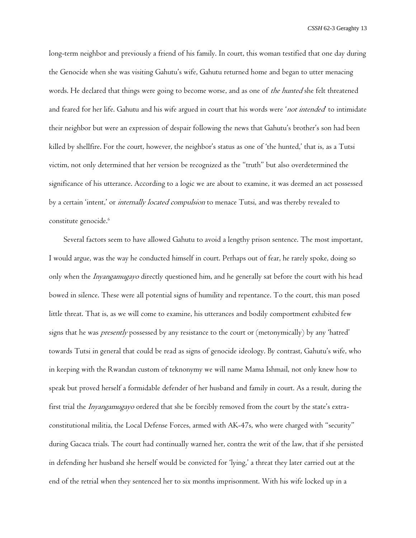long-term neighbor and previously a friend of his family. In court, this woman testified that one day during the Genocide when she was visiting Gahutu's wife, Gahutu returned home and began to utter menacing words. He declared that things were going to become worse, and as one of the hunted she felt threatened and feared for her life. Gahutu and his wife argued in court that his words were 'not intended to intimidate their neighbor but were an expression of despair following the news that Gahutu's brother's son had been killed by shellfire. For the court, however, the neighbor's status as one of 'the hunted,' that is, as a Tutsi victim, not only determined that her version be recognized as the "truth" but also overdetermined the significance of his utterance. According to a logic we are about to examine, it was deemed an act possessed by a certain 'intent,' or *internally located compulsion* to menace Tutsi, and was thereby revealed to constitute genocide.<sup>6</sup>

Several factors seem to have allowed Gahutu to avoid a lengthy prison sentence. The most important, I would argue, was the way he conducted himself in court. Perhaps out of fear, he rarely spoke, doing so only when the *Inyangamugayo* directly questioned him, and he generally sat before the court with his head bowed in silence. These were all potential signs of humility and repentance. To the court, this man posed little threat. That is, as we will come to examine, his utterances and bodily comportment exhibited few signs that he was *presently* possessed by any resistance to the court or (metonymically) by any 'hatred' towards Tutsi in general that could be read as signs of genocide ideology. By contrast, Gahutu's wife, who in keeping with the Rwandan custom of teknonymy we will name Mama Ishmail, not only knew how to speak but proved herself a formidable defender of her husband and family in court. As a result, during the first trial the Inyangamugayo ordered that she be forcibly removed from the court by the state's extraconstitutional militia, the Local Defense Forces, armed with AK-47s, who were charged with "security" during Gacaca trials. The court had continually warned her, contra the writ of the law, that if she persisted in defending her husband she herself would be convicted for 'lying,' a threat they later carried out at the end of the retrial when they sentenced her to six months imprisonment. With his wife locked up in a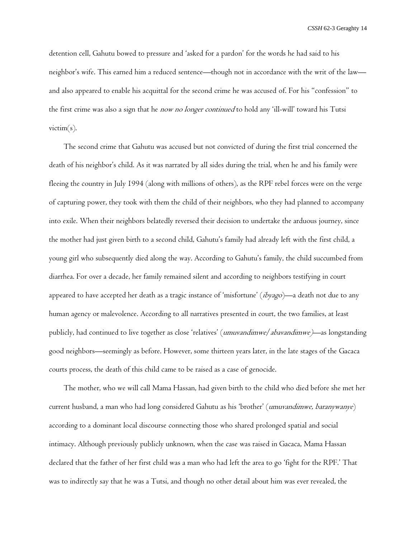detention cell, Gahutu bowed to pressure and 'asked for a pardon' for the words he had said to his neighbor's wife. This earned him a reduced sentence—though not in accordance with the writ of the law and also appeared to enable his acquittal for the second crime he was accused of. For his "confession" to the first crime was also a sign that he *now no longer continued* to hold any 'ill-will' toward his Tutsi victim $(s)$ .

The second crime that Gahutu was accused but not convicted of during the first trial concerned the death of his neighbor's child. As it was narrated by all sides during the trial, when he and his family were fleeing the country in July 1994 (along with millions of others), as the RPF rebel forces were on the verge of capturing power, they took with them the child of their neighbors, who they had planned to accompany into exile. When their neighbors belatedly reversed their decision to undertake the arduous journey, since the mother had just given birth to a second child, Gahutu's family had already left with the first child, a young girl who subsequently died along the way. According to Gahutu's family, the child succumbed from diarrhea. For over a decade, her family remained silent and according to neighbors testifying in court appeared to have accepted her death as a tragic instance of 'misfortune' (ibyago)—a death not due to any human agency or malevolence. According to all narratives presented in court, the two families, at least publicly, had continued to live together as close 'relatives' (umuvandimwe/abavandimwe)—as longstanding good neighbors—seemingly as before. However, some thirteen years later, in the late stages of the Gacaca courts process, the death of this child came to be raised as a case of genocide.

The mother, who we will call Mama Hassan, had given birth to the child who died before she met her current husband, a man who had long considered Gahutu as his 'brother' (umuvandimwe, baranywanye) according to a dominant local discourse connecting those who shared prolonged spatial and social intimacy. Although previously publicly unknown, when the case was raised in Gacaca, Mama Hassan declared that the father of her first child was a man who had left the area to go 'fight for the RPF.' That was to indirectly say that he was a Tutsi, and though no other detail about him was ever revealed, the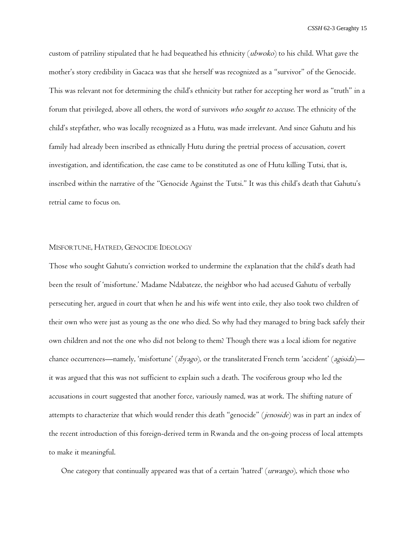custom of patriliny stipulated that he had bequeathed his ethnicity (ubwoko) to his child. What gave the mother's story credibility in Gacaca was that she herself was recognized as a "survivor" of the Genocide. This was relevant not for determining the child's ethnicity but rather for accepting her word as "truth" in a forum that privileged, above all others, the word of survivors who sought to accuse. The ethnicity of the child's stepfather, who was locally recognized as a Hutu, was made irrelevant. And since Gahutu and his family had already been inscribed as ethnically Hutu during the pretrial process of accusation, covert investigation, and identification, the case came to be constituted as one of Hutu killing Tutsi, that is, inscribed within the narrative of the "Genocide Against the Tutsi." It was this child's death that Gahutu's retrial came to focus on.

## MISFORTUNE, HATRED, GENOCIDE IDEOLOGY

Those who sought Gahutu's conviction worked to undermine the explanation that the child's death had been the result of 'misfortune.' Madame Ndabateze, the neighbor who had accused Gahutu of verbally persecuting her, argued in court that when he and his wife went into exile, they also took two children of their own who were just as young as the one who died. So why had they managed to bring back safely their own children and not the one who did not belong to them? Though there was a local idiom for negative chance occurrences—namely, 'misfortune' (ibyago), or the transliterated French term 'accident' (agisida) it was argued that this was not sufficient to explain such a death. The vociferous group who led the accusations in court suggested that another force, variously named, was at work. The shifting nature of attempts to characterize that which would render this death "genocide" (*jenoside*) was in part an index of the recent introduction of this foreign-derived term in Rwanda and the on-going process of local attempts to make it meaningful.

One category that continually appeared was that of a certain 'hatred' (*urwango*), which those who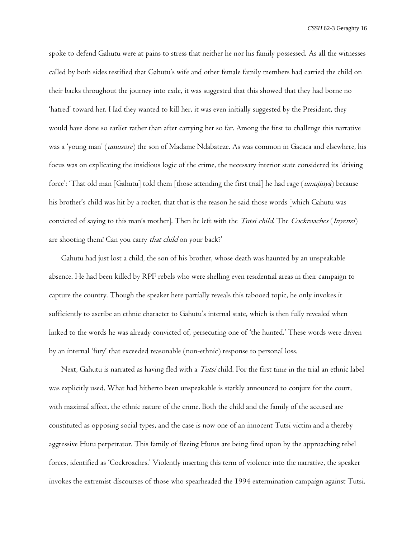spoke to defend Gahutu were at pains to stress that neither he nor his family possessed. As all the witnesses called by both sides testified that Gahutu's wife and other female family members had carried the child on their backs throughout the journey into exile, it was suggested that this showed that they had borne no 'hatred' toward her. Had they wanted to kill her, it was even initially suggested by the President, they would have done so earlier rather than after carrying her so far. Among the first to challenge this narrative was a 'young man' (umusore) the son of Madame Ndabateze. As was common in Gacaca and elsewhere, his focus was on explicating the insidious logic of the crime, the necessary interior state considered its 'driving force': 'That old man [Gahutu] told them [those attending the first trial] he had rage (umujinya) because his brother's child was hit by a rocket, that that is the reason he said those words [which Gahutu was convicted of saying to this man's mother]. Then he left with the Tutsi child. The Cockroaches (Inyenzi) are shooting them! Can you carry *that child* on your back?'

Gahutu had just lost a child, the son of his brother, whose death was haunted by an unspeakable absence. He had been killed by RPF rebels who were shelling even residential areas in their campaign to capture the country. Though the speaker here partially reveals this tabooed topic, he only invokes it sufficiently to ascribe an ethnic character to Gahutu's internal state, which is then fully revealed when linked to the words he was already convicted of, persecuting one of 'the hunted.' These words were driven by an internal 'fury' that exceeded reasonable (non-ethnic) response to personal loss.

Next, Gahutu is narrated as having fled with a *Tutsi* child. For the first time in the trial an ethnic label was explicitly used. What had hitherto been unspeakable is starkly announced to conjure for the court, with maximal affect, the ethnic nature of the crime. Both the child and the family of the accused are constituted as opposing social types, and the case is now one of an innocent Tutsi victim and a thereby aggressive Hutu perpetrator. This family of fleeing Hutus are being fired upon by the approaching rebel forces, identified as 'Cockroaches.' Violently inserting this term of violence into the narrative, the speaker invokes the extremist discourses of those who spearheaded the 1994 extermination campaign against Tutsi.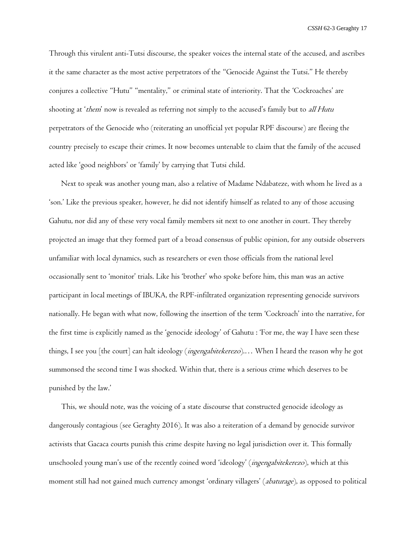Through this virulent anti-Tutsi discourse, the speaker voices the internal state of the accused, and ascribes it the same character as the most active perpetrators of the "Genocide Against the Tutsi." He thereby conjures a collective "Hutu" "mentality," or criminal state of interiority. That the 'Cockroaches' are shooting at 'them' now is revealed as referring not simply to the accused's family but to *all Hutu* perpetrators of the Genocide who (reiterating an unofficial yet popular RPF discourse) are fleeing the country precisely to escape their crimes. It now becomes untenable to claim that the family of the accused acted like 'good neighbors' or 'family' by carrying that Tutsi child.

Next to speak was another young man, also a relative of Madame Ndabateze, with whom he lived as a 'son.' Like the previous speaker, however, he did not identify himself as related to any of those accusing Gahutu, nor did any of these very vocal family members sit next to one another in court. They thereby projected an image that they formed part of a broad consensus of public opinion, for any outside observers unfamiliar with local dynamics, such as researchers or even those officials from the national level occasionally sent to 'monitor' trials. Like his 'brother' who spoke before him, this man was an active participant in local meetings of IBUKA, the RPF-infiltrated organization representing genocide survivors nationally. He began with what now, following the insertion of the term 'Cockroach' into the narrative, for the first time is explicitly named as the 'genocide ideology' of Gahutu : 'For me, the way I have seen these things, I see you [the court] can halt ideology (*ingengabitekerezo*).... When I heard the reason why he got summonsed the second time I was shocked. Within that, there is a serious crime which deserves to be punished by the law.'

This, we should note, was the voicing of a state discourse that constructed genocide ideology as dangerously contagious (see Geraghty 2016). It was also a reiteration of a demand by genocide survivor activists that Gacaca courts punish this crime despite having no legal jurisdiction over it. This formally unschooled young man's use of the recently coined word 'ideology' (ingengabitekerezo), which at this moment still had not gained much currency amongst 'ordinary villagers' (abaturage), as opposed to political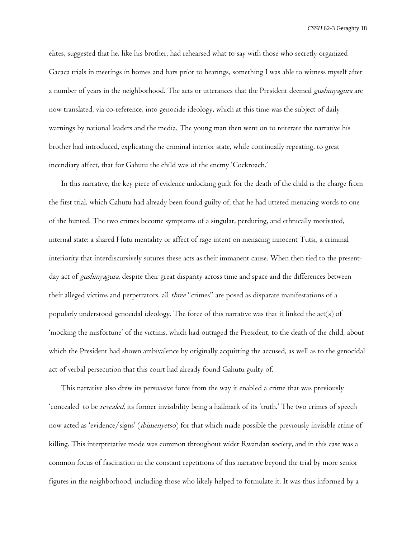elites, suggested that he, like his brother, had rehearsed what to say with those who secretly organized Gacaca trials in meetings in homes and bars prior to hearings, something I was able to witness myself after a number of years in the neighborhood. The acts or utterances that the President deemed *gushinyagura* are now translated, via co-reference, into genocide ideology, which at this time was the subject of daily warnings by national leaders and the media. The young man then went on to reiterate the narrative his brother had introduced, explicating the criminal interior state, while continually repeating, to great incendiary affect, that for Gahutu the child was of the enemy 'Cockroach.'

In this narrative, the key piece of evidence unlocking guilt for the death of the child is the charge from the first trial, which Gahutu had already been found guilty of, that he had uttered menacing words to one of the hunted. The two crimes become symptoms of a singular, perduring, and ethnically motivated, internal state: a shared Hutu mentality or affect of rage intent on menacing innocent Tutsi, a criminal interiority that interdiscursively sutures these acts as their immanent cause. When then tied to the presentday act of *gushinyagura*, despite their great disparity across time and space and the differences between their alleged victims and perpetrators, all *three* "crimes" are posed as disparate manifestations of a popularly understood genocidal ideology. The force of this narrative was that it linked the act(s) of 'mocking the misfortune' of the victims, which had outraged the President, to the death of the child, about which the President had shown ambivalence by originally acquitting the accused, as well as to the genocidal act of verbal persecution that this court had already found Gahutu guilty of.

This narrative also drew its persuasive force from the way it enabled a crime that was previously 'concealed' to be revealed, its former invisibility being a hallmark of its 'truth.' The two crimes of speech now acted as 'evidence/signs' (*ibimenyetso*) for that which made possible the previously invisible crime of killing. This interpretative mode was common throughout wider Rwandan society, and in this case was a common focus of fascination in the constant repetitions of this narrative beyond the trial by more senior figures in the neighborhood, including those who likely helped to formulate it. It was thus informed by a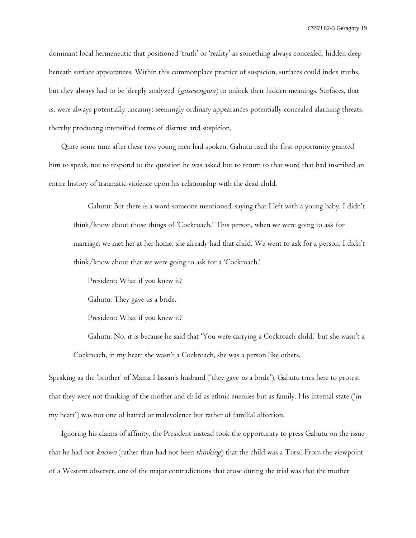dominant local hermeneutic that positioned 'truth' or 'reality' as something always concealed, hidden deep beneath surface appearances. Within this commonplace practice of suspicion, surfaces could index truths, but they always had to be 'deeply analyzed' (*gusesengura*) to unlock their hidden meanings. Surfaces, that is, were always potentially uncanny: seemingly ordinary appearances potentially concealed alarming threats, thereby producing intensified forms of distrust and suspicion.

Quite some time after these two young men had spoken, Gahutu used the first opportunity granted him to speak, not to respond to the question he was asked but to return to that word that had inscribed an entire history of traumatic violence upon his relationship with the dead child.

Gahutu: But there is a word someone mentioned, saying that I left with a young baby. I didn't think/know about those things of 'Cockroach.' This person, when we were going to ask for marriage, we met her at her home, she already had that child. We went to ask for a person, I didn't think/know about that we were going to ask for a 'Cockroach.'

President: What if you knew it?

Gahutu: They gave us a bride.

President: What if you knew it?

Gahutu: No, it is because he said that 'You were carrying a Cockroach child,' but she wasn't a Cockroach, in my heart she wasn't a Cockroach, she was a person like others.

Speaking as the 'brother' of Mama Hassan's husband ('they gave us a bride'), Gahutu tries here to protest that they were not thinking of the mother and child as ethnic enemies but as family. His internal state ('in my heart') was not one of hatred or malevolence but rather of familial affection.

Ignoring his claims of affinity, the President instead took the opportunity to press Gahutu on the issue that he had not *known* (rather than had not been *thinking*) that the child was a Tutsi. From the viewpoint of a Western observer, one of the major contradictions that arose during the trial was that the mother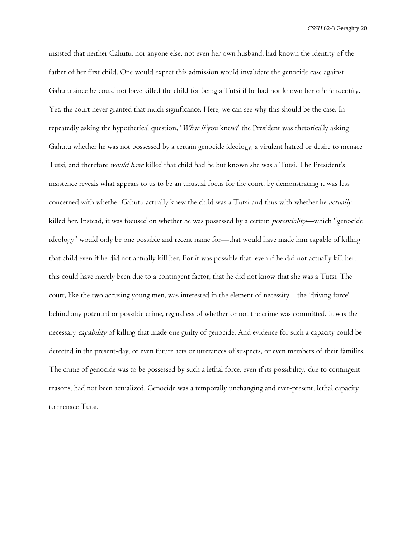insisted that neither Gahutu, nor anyone else, not even her own husband, had known the identity of the father of her first child. One would expect this admission would invalidate the genocide case against Gahutu since he could not have killed the child for being a Tutsi if he had not known her ethnic identity. Yet, the court never granted that much significance. Here, we can see why this should be the case. In repeatedly asking the hypothetical question, 'What if you knew?' the President was rhetorically asking Gahutu whether he was not possessed by a certain genocide ideology, a virulent hatred or desire to menace Tutsi, and therefore would have killed that child had he but known she was a Tutsi. The President's insistence reveals what appears to us to be an unusual focus for the court, by demonstrating it was less concerned with whether Gahutu actually knew the child was a Tutsi and thus with whether he *actually* killed her. Instead, it was focused on whether he was possessed by a certain *potentiality*—which "genocide ideology" would only be one possible and recent name for—that would have made him capable of killing that child even if he did not actually kill her. For it was possible that, even if he did not actually kill her, this could have merely been due to a contingent factor, that he did not know that she was a Tutsi. The court, like the two accusing young men, was interested in the element of necessity—the 'driving force' behind any potential or possible crime, regardless of whether or not the crime was committed. It was the necessary *capability* of killing that made one guilty of genocide. And evidence for such a capacity could be detected in the present-day, or even future acts or utterances of suspects, or even members of their families. The crime of genocide was to be possessed by such a lethal force, even if its possibility, due to contingent reasons, had not been actualized. Genocide was a temporally unchanging and ever-present, lethal capacity to menace Tutsi.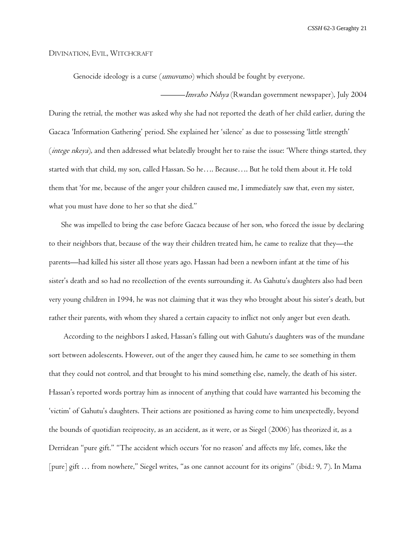#### DIVINATION, EVIL, WITCHCRAFT

Genocide ideology is a curse (umuvumo) which should be fought by everyone.

———*Imvaho Nshya* (Rwandan government newspaper), July 2004 During the retrial, the mother was asked why she had not reported the death of her child earlier, during the Gacaca 'Information Gathering' period. She explained her 'silence' as due to possessing 'little strength' (*intege nkeya*), and then addressed what belatedly brought her to raise the issue: 'Where things started, they started with that child, my son, called Hassan. So he…. Because…. But he told them about it. He told them that 'for me, because of the anger your children caused me, I immediately saw that, even my sister, what you must have done to her so that she died.''

She was impelled to bring the case before Gacaca because of her son, who forced the issue by declaring to their neighbors that, because of the way their children treated him, he came to realize that they—the parents—had killed his sister all those years ago. Hassan had been a newborn infant at the time of his sister's death and so had no recollection of the events surrounding it. As Gahutu's daughters also had been very young children in 1994, he was not claiming that it was they who brought about his sister's death, but rather their parents, with whom they shared a certain capacity to inflict not only anger but even death.

According to the neighbors I asked, Hassan's falling out with Gahutu's daughters was of the mundane sort between adolescents. However, out of the anger they caused him, he came to see something in them that they could not control, and that brought to his mind something else, namely, the death of his sister. Hassan's reported words portray him as innocent of anything that could have warranted his becoming the 'victim' of Gahutu's daughters. Their actions are positioned as having come to him unexpectedly, beyond the bounds of quotidian reciprocity, as an accident, as it were, or as Siegel (2006) has theorized it, as a Derridean "pure gift." "The accident which occurs 'for no reason' and affects my life, comes, like the [pure] gift ... from nowhere," Siegel writes, "as one cannot account for its origins" (ibid.: 9, 7). In Mama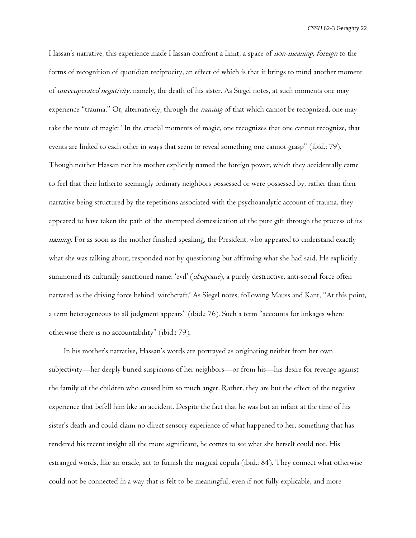Hassan's narrative, this experience made Hassan confront a limit, a space of *non-meaning, foreign* to the forms of recognition of quotidian reciprocity, an effect of which is that it brings to mind another moment of unrecuperated negativity, namely, the death of his sister. As Siegel notes, at such moments one may experience "trauma." Or, alternatively, through the *naming* of that which cannot be recognized, one may take the route of magic: "In the crucial moments of magic, one recognizes that one cannot recognize, that events are linked to each other in ways that seem to reveal something one cannot grasp" (ibid.: 79). Though neither Hassan nor his mother explicitly named the foreign power, which they accidentally came to feel that their hitherto seemingly ordinary neighbors possessed or were possessed by, rather than their narrative being structured by the repetitions associated with the psychoanalytic account of trauma, they appeared to have taken the path of the attempted domestication of the pure gift through the process of its naming. For as soon as the mother finished speaking, the President, who appeared to understand exactly what she was talking about, responded not by questioning but affirming what she had said. He explicitly summoned its culturally sanctioned name: 'evil' (ubugome), a purely destructive, anti-social force often narrated as the driving force behind 'witchcraft.' As Siegel notes, following Mauss and Kant, "At this point, a term heterogeneous to all judgment appears" (ibid.: 76). Such a term "accounts for linkages where otherwise there is no accountability" (ibid.: 79).

In his mother's narrative, Hassan's words are portrayed as originating neither from her own subjectivity—her deeply buried suspicions of her neighbors—or from his—his desire for revenge against the family of the children who caused him so much anger. Rather, they are but the effect of the negative experience that befell him like an accident. Despite the fact that he was but an infant at the time of his sister's death and could claim no direct sensory experience of what happened to her, something that has rendered his recent insight all the more significant, he comes to see what she herself could not. His estranged words, like an oracle, act to furnish the magical copula (ibid.: 84). They connect what otherwise could not be connected in a way that is felt to be meaningful, even if not fully explicable, and more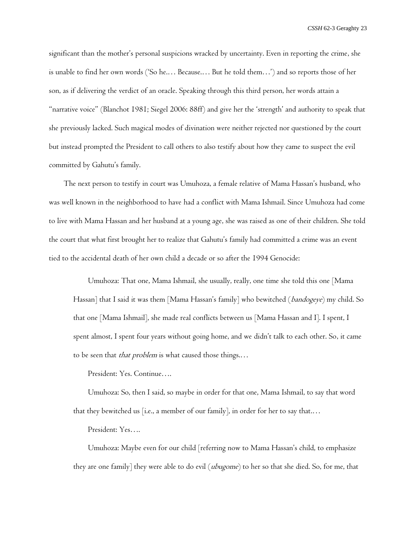significant than the mother's personal suspicions wracked by uncertainty. Even in reporting the crime, she is unable to find her own words ('So he.… Because.… But he told them…') and so reports those of her son, as if delivering the verdict of an oracle. Speaking through this third person, her words attain a "narrative voice" (Blanchot 1981; Siegel 2006: 88ff) and give her the 'strength' and authority to speak that she previously lacked. Such magical modes of divination were neither rejected nor questioned by the court but instead prompted the President to call others to also testify about how they came to suspect the evil committed by Gahutu's family.

The next person to testify in court was Umuhoza, a female relative of Mama Hassan's husband, who was well known in the neighborhood to have had a conflict with Mama Ishmail. Since Umuhoza had come to live with Mama Hassan and her husband at a young age, she was raised as one of their children. She told the court that what first brought her to realize that Gahutu's family had committed a crime was an event tied to the accidental death of her own child a decade or so after the 1994 Genocide:

Umuhoza: That one, Mama Ishmail, she usually, really, one time she told this one [Mama Hassan] that I said it was them [Mama Hassan's family] who bewitched (bandogeye) my child. So that one [Mama Ishmail], she made real conflicts between us [Mama Hassan and I]. I spent, I spent almost, I spent four years without going home, and we didn't talk to each other. So, it came to be seen that *that problem* is what caused those things....

President: Yes. Continue….

Umuhoza: So, then I said, so maybe in order for that one, Mama Ishmail, to say that word that they bewitched us [i.e., a member of our family], in order for her to say that....

President: Yes….

Umuhoza: Maybe even for our child [referring now to Mama Hassan's child, to emphasize they are one family] they were able to do evil  $(\textit{ubugome})$  to her so that she died. So, for me, that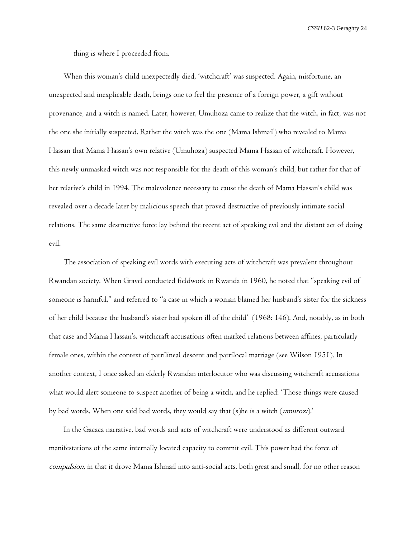thing is where I proceeded from.

When this woman's child unexpectedly died, 'witchcraft' was suspected. Again, misfortune, an unexpected and inexplicable death, brings one to feel the presence of a foreign power, a gift without provenance, and a witch is named. Later, however, Umuhoza came to realize that the witch, in fact, was not the one she initially suspected. Rather the witch was the one (Mama Ishmail) who revealed to Mama Hassan that Mama Hassan's own relative (Umuhoza) suspected Mama Hassan of witchcraft. However, this newly unmasked witch was not responsible for the death of this woman's child, but rather for that of her relative's child in 1994. The malevolence necessary to cause the death of Mama Hassan's child was revealed over a decade later by malicious speech that proved destructive of previously intimate social relations. The same destructive force lay behind the recent act of speaking evil and the distant act of doing evil.

The association of speaking evil words with executing acts of witchcraft was prevalent throughout Rwandan society. When Gravel conducted fieldwork in Rwanda in 1960, he noted that "speaking evil of someone is harmful," and referred to "a case in which a woman blamed her husband's sister for the sickness of her child because the husband's sister had spoken ill of the child" (1968: 146). And, notably, as in both that case and Mama Hassan's, witchcraft accusations often marked relations between affines, particularly female ones, within the context of patrilineal descent and patrilocal marriage (see Wilson 1951). In another context, I once asked an elderly Rwandan interlocutor who was discussing witchcraft accusations what would alert someone to suspect another of being a witch, and he replied: 'Those things were caused by bad words. When one said bad words, they would say that (s)he is a witch (umurozi).'

In the Gacaca narrative, bad words and acts of witchcraft were understood as different outward manifestations of the same internally located capacity to commit evil. This power had the force of compulsion, in that it drove Mama Ishmail into anti-social acts, both great and small, for no other reason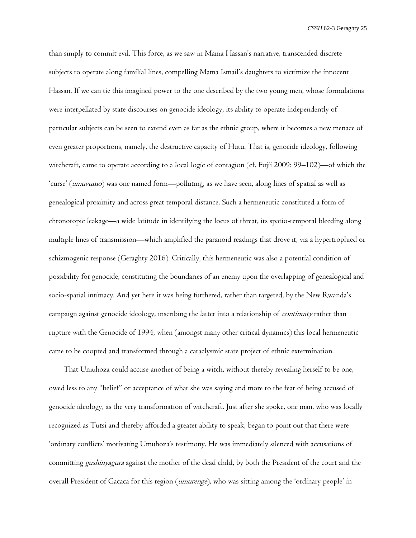than simply to commit evil. This force, as we saw in Mama Hassan's narrative, transcended discrete subjects to operate along familial lines, compelling Mama Ismail's daughters to victimize the innocent Hassan. If we can tie this imagined power to the one described by the two young men, whose formulations were interpellated by state discourses on genocide ideology, its ability to operate independently of particular subjects can be seen to extend even as far as the ethnic group, where it becomes a new menace of even greater proportions, namely, the destructive capacity of Hutu. That is, genocide ideology, following witchcraft, came to operate according to a local logic of contagion (cf. Fujii 2009: 99–102)—of which the 'curse' (umuvumo) was one named form—polluting, as we have seen, along lines of spatial as well as genealogical proximity and across great temporal distance. Such a hermeneutic constituted a form of chronotopic leakage—a wide latitude in identifying the locus of threat, its spatio-temporal bleeding along multiple lines of transmission—which amplified the paranoid readings that drove it, via a hypertrophied or schizmogenic response (Geraghty 2016). Critically, this hermeneutic was also a potential condition of possibility for genocide, constituting the boundaries of an enemy upon the overlapping of genealogical and socio-spatial intimacy. And yet here it was being furthered, rather than targeted, by the New Rwanda's campaign against genocide ideology, inscribing the latter into a relationship of *continuity* rather than rupture with the Genocide of 1994, when (amongst many other critical dynamics) this local hermeneutic came to be coopted and transformed through a cataclysmic state project of ethnic extermination.

That Umuhoza could accuse another of being a witch, without thereby revealing herself to be one, owed less to any "belief" or acceptance of what she was saying and more to the fear of being accused of genocide ideology, as the very transformation of witchcraft. Just after she spoke, one man, who was locally recognized as Tutsi and thereby afforded a greater ability to speak, began to point out that there were 'ordinary conflicts' motivating Umuhoza's testimony. He was immediately silenced with accusations of committing *gushinyagura* against the mother of the dead child, by both the President of the court and the overall President of Gacaca for this region (umurenge), who was sitting among the 'ordinary people' in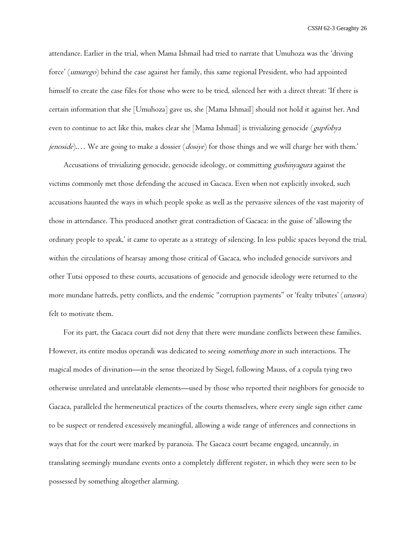attendance. Earlier in the trial, when Mama Ishmail had tried to narrate that Umuhoza was the 'driving force' (umurego) behind the case against her family, this same regional President, who had appointed himself to create the case files for those who were to be tried, silenced her with a direct threat: 'If there is certain information that she [Umuhoza] gave us, she [Mama Ishmail] should not hold it against her. And even to continue to act like this, makes clear she [Mama Ishmail] is trivializing genocide (*gupfobya jenoside*).... We are going to make a dossier (*dosiye*) for those things and we will charge her with them.'

Accusations of trivializing genocide, genocide ideology, or committing *gushinyagura* against the victims commonly met those defending the accused in Gacaca. Even when not explicitly invoked, such accusations haunted the ways in which people spoke as well as the pervasive silences of the vast majority of those in attendance. This produced another great contradiction of Gacaca: in the guise of 'allowing the ordinary people to speak,' it came to operate as a strategy of silencing. In less public spaces beyond the trial, within the circulations of hearsay among those critical of Gacaca, who included genocide survivors and other Tutsi opposed to these courts, accusations of genocide and genocide ideology were returned to the more mundane hatreds, petty conflicts, and the endemic "corruption payments" or 'fealty tributes' (uruswa) felt to motivate them.

For its part, the Gacaca court did not deny that there were mundane conflicts between these families. However, its entire modus operandi was dedicated to seeing *something more* in such interactions. The magical modes of divination—in the sense theorized by Siegel, following Mauss, of a copula tying two otherwise unrelated and unrelatable elements—used by those who reported their neighbors for genocide to Gacaca, paralleled the hermeneutical practices of the courts themselves, where every single sign either came to be suspect or rendered excessively meaningful, allowing a wide range of inferences and connections in ways that for the court were marked by paranoia. The Gacaca court became engaged, uncannily, in translating seemingly mundane events onto a completely different register, in which they were seen to be possessed by something altogether alarming.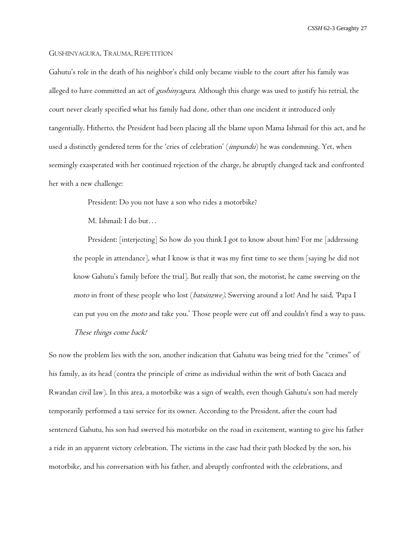#### GUSHINYAGURA, TRAUMA, REPETITION

Gahutu's role in the death of his neighbor's child only became visible to the court after his family was alleged to have committed an act of *gushinyagura*. Although this charge was used to justify his retrial, the court never clearly specified what his family had done, other than one incident it introduced only tangentially. Hitherto, the President had been placing all the blame upon Mama Ishmail for this act, and he used a distinctly gendered term for the 'cries of celebration' (impundu) he was condemning. Yet, when seemingly exasperated with her continued rejection of the charge, he abruptly changed tack and confronted her with a new challenge:

President: Do you not have a son who rides a motorbike?

M. Ishmail: I do but…

President: [interjecting] So how do you think I got to know about him? For me [addressing the people in attendance], what I know is that it was my first time to see them [saying he did not know Gahutu's family before the trial]. But really that son, the motorist, he came swerving on the moto in front of these people who lost (batsinzwe). Swerving around a lot! And he said, 'Papa I can put you on the *moto* and take you.' Those people were cut off and couldn't find a way to pass. These things come back!

So now the problem lies with the son, another indication that Gahutu was being tried for the "crimes" of his family, as its head (contra the principle of crime as individual within the writ of both Gacaca and Rwandan civil law). In this area, a motorbike was a sign of wealth, even though Gahutu's son had merely temporarily performed a taxi service for its owner. According to the President, after the court had sentenced Gahutu, his son had swerved his motorbike on the road in excitement, wanting to give his father a ride in an apparent victory celebration. The victims in the case had their path blocked by the son, his motorbike, and his conversation with his father, and abruptly confronted with the celebrations, and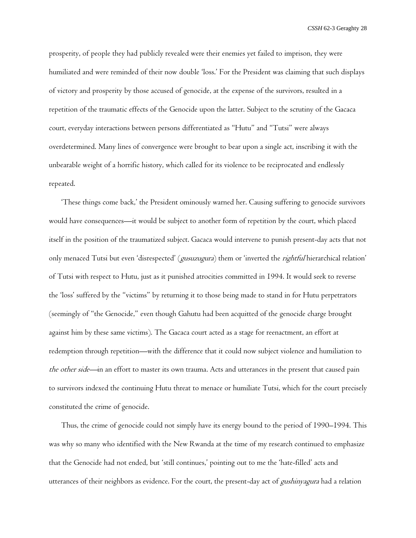prosperity, of people they had publicly revealed were their enemies yet failed to imprison, they were humiliated and were reminded of their now double 'loss.' For the President was claiming that such displays of victory and prosperity by those accused of genocide, at the expense of the survivors, resulted in a repetition of the traumatic effects of the Genocide upon the latter. Subject to the scrutiny of the Gacaca court, everyday interactions between persons differentiated as "Hutu" and "Tutsi" were always overdetermined. Many lines of convergence were brought to bear upon a single act, inscribing it with the unbearable weight of a horrific history, which called for its violence to be reciprocated and endlessly repeated.

'These things come back,' the President ominously warned her. Causing suffering to genocide survivors would have consequences—it would be subject to another form of repetition by the court, which placed itself in the position of the traumatized subject. Gacaca would intervene to punish present-day acts that not only menaced Tutsi but even 'disrespected' (gusuzugura) them or 'inverted the rightful hierarchical relation' of Tutsi with respect to Hutu, just as it punished atrocities committed in 1994. It would seek to reverse the 'loss' suffered by the "victims" by returning it to those being made to stand in for Hutu perpetrators (seemingly of "the Genocide," even though Gahutu had been acquitted of the genocide charge brought against him by these same victims). The Gacaca court acted as a stage for reenactment, an effort at redemption through repetition—with the difference that it could now subject violence and humiliation to the other side—in an effort to master its own trauma. Acts and utterances in the present that caused pain to survivors indexed the continuing Hutu threat to menace or humiliate Tutsi, which for the court precisely constituted the crime of genocide.

Thus, the crime of genocide could not simply have its energy bound to the period of 1990–1994. This was why so many who identified with the New Rwanda at the time of my research continued to emphasize that the Genocide had not ended, but 'still continues,' pointing out to me the 'hate-filled' acts and utterances of their neighbors as evidence. For the court, the present-day act of *gushinyagura* had a relation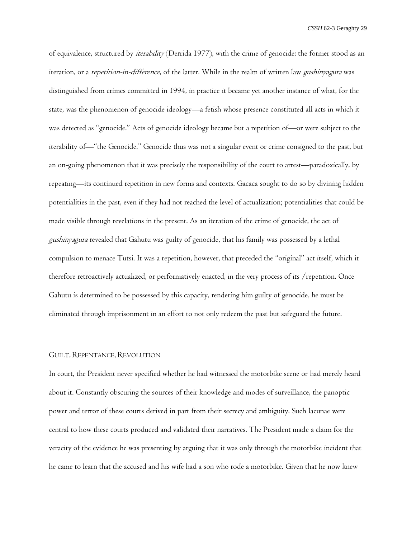of equivalence, structured by *iterability* (Derrida 1977), with the crime of genocide: the former stood as an iteration, or a *repetition-in-difference*, of the latter. While in the realm of written law *gushinyagura* was distinguished from crimes committed in 1994, in practice it became yet another instance of what, for the state, was the phenomenon of genocide ideology—a fetish whose presence constituted all acts in which it was detected as "genocide." Acts of genocide ideology became but a repetition of—or were subject to the iterability of—"the Genocide." Genocide thus was not a singular event or crime consigned to the past, but an on-going phenomenon that it was precisely the responsibility of the court to arrest—paradoxically, by repeating—its continued repetition in new forms and contexts. Gacaca sought to do so by divining hidden potentialities in the past, even if they had not reached the level of actualization; potentialities that could be made visible through revelations in the present. As an iteration of the crime of genocide, the act of gushinyagura revealed that Gahutu was guilty of genocide, that his family was possessed by a lethal compulsion to menace Tutsi. It was a repetition, however, that preceded the "original" act itself, which it therefore retroactively actualized, or performatively enacted, in the very process of its /repetition. Once Gahutu is determined to be possessed by this capacity, rendering him guilty of genocide, he must be eliminated through imprisonment in an effort to not only redeem the past but safeguard the future.

## GUILT, REPENTANCE, REVOLUTION

In court, the President never specified whether he had witnessed the motorbike scene or had merely heard about it. Constantly obscuring the sources of their knowledge and modes of surveillance, the panoptic power and terror of these courts derived in part from their secrecy and ambiguity. Such lacunae were central to how these courts produced and validated their narratives. The President made a claim for the veracity of the evidence he was presenting by arguing that it was only through the motorbike incident that he came to learn that the accused and his wife had a son who rode a motorbike. Given that he now knew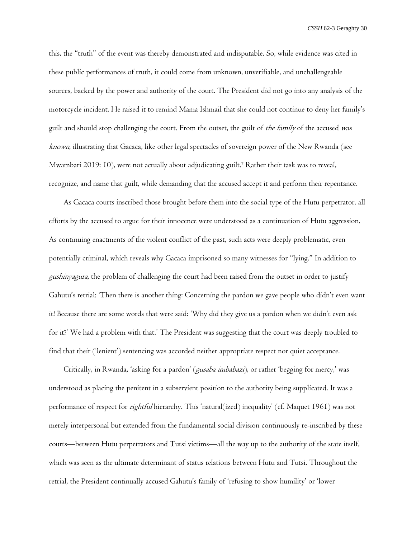this, the "truth" of the event was thereby demonstrated and indisputable. So, while evidence was cited in these public performances of truth, it could come from unknown, unverifiable, and unchallengeable sources, backed by the power and authority of the court. The President did not go into any analysis of the motorcycle incident. He raised it to remind Mama Ishmail that she could not continue to deny her family's guilt and should stop challenging the court. From the outset, the guilt of the family of the accused was known, illustrating that Gacaca, like other legal spectacles of sovereign power of the New Rwanda (see Mwambari 2019: 10), were not actually about adjudicating guilt.<sup>7</sup> Rather their task was to reveal, recognize, and name that guilt, while demanding that the accused accept it and perform their repentance.

As Gacaca courts inscribed those brought before them into the social type of the Hutu perpetrator, all efforts by the accused to argue for their innocence were understood as a continuation of Hutu aggression. As continuing enactments of the violent conflict of the past, such acts were deeply problematic, even potentially criminal, which reveals why Gacaca imprisoned so many witnesses for "lying." In addition to gushinyagura, the problem of challenging the court had been raised from the outset in order to justify Gahutu's retrial: 'Then there is another thing: Concerning the pardon we gave people who didn't even want it! Because there are some words that were said: 'Why did they give us a pardon when we didn't even ask for it?' We had a problem with that.' The President was suggesting that the court was deeply troubled to find that their ('lenient') sentencing was accorded neither appropriate respect nor quiet acceptance.

Critically, in Rwanda, 'asking for a pardon' (gusaba imbabazi), or rather 'begging for mercy,' was understood as placing the penitent in a subservient position to the authority being supplicated. It was a performance of respect for *rightful* hierarchy. This 'natural(ized) inequality' (cf. Maquet 1961) was not merely interpersonal but extended from the fundamental social division continuously re-inscribed by these courts—between Hutu perpetrators and Tutsi victims—all the way up to the authority of the state itself, which was seen as the ultimate determinant of status relations between Hutu and Tutsi. Throughout the retrial, the President continually accused Gahutu's family of 'refusing to show humility' or 'lower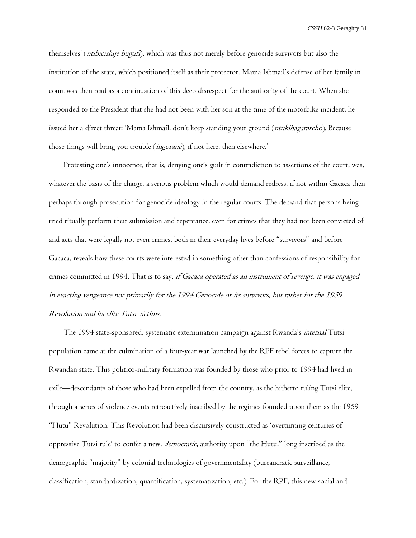themselves' (*ntibicishije bugufi*), which was thus not merely before genocide survivors but also the institution of the state, which positioned itself as their protector. Mama Ishmail's defense of her family in court was then read as a continuation of this deep disrespect for the authority of the court. When she responded to the President that she had not been with her son at the time of the motorbike incident, he issued her a direct threat: 'Mama Ishmail, don't keep standing your ground (*ntukihagarareho*). Because those things will bring you trouble (*ingorane*), if not here, then elsewhere.'

Protesting one's innocence, that is, denying one's guilt in contradiction to assertions of the court, was, whatever the basis of the charge, a serious problem which would demand redress, if not within Gacaca then perhaps through prosecution for genocide ideology in the regular courts. The demand that persons being tried ritually perform their submission and repentance, even for crimes that they had not been convicted of and acts that were legally not even crimes, both in their everyday lives before "survivors" and before Gacaca, reveals how these courts were interested in something other than confessions of responsibility for crimes committed in 1994. That is to say, *if Gacaca operated as an instrument of revenge, it was engaged* in exacting vengeance not primarily for the 1994 Genocide or its survivors, but rather for the <sup>1959</sup> Revolution and its elite Tutsi victims.

The 1994 state-sponsored, systematic extermination campaign against Rwanda's *internal* Tutsi population came at the culmination of a four-year war launched by the RPF rebel forces to capture the Rwandan state. This politico-military formation was founded by those who prior to 1994 had lived in exile—descendants of those who had been expelled from the country, as the hitherto ruling Tutsi elite, through a series of violence events retroactively inscribed by the regimes founded upon them as the 1959 "Hutu" Revolution. This Revolution had been discursively constructed as 'overturning centuries of oppressive Tutsi rule' to confer a new, *democratic*, authority upon "the Hutu," long inscribed as the demographic "majority" by colonial technologies of governmentality (bureaucratic surveillance, classification, standardization, quantification, systematization, etc.). For the RPF, this new social and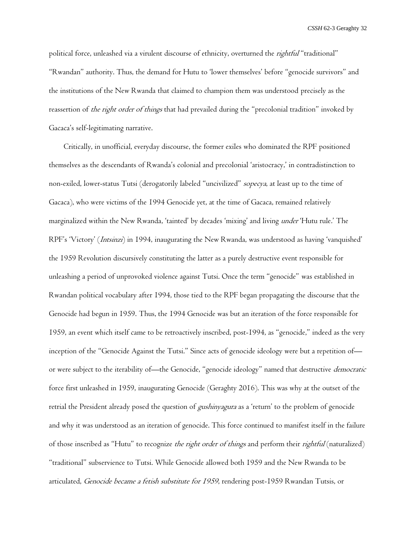political force, unleashed via a virulent discourse of ethnicity, overturned the *rightful* "traditional" "Rwandan" authority. Thus, the demand for Hutu to 'lower themselves' before "genocide survivors" and the institutions of the New Rwanda that claimed to champion them was understood precisely as the reassertion of the right order of things that had prevailed during the "precolonial tradition" invoked by Gacaca's self-legitimating narrative.

Critically, in unofficial, everyday discourse, the former exiles who dominated the RPF positioned themselves as the descendants of Rwanda's colonial and precolonial 'aristocracy,' in contradistinction to non-exiled, lower-status Tutsi (derogatorily labeled "uncivilized" sopecya, at least up to the time of Gacaca), who were victims of the 1994 Genocide yet, at the time of Gacaca, remained relatively marginalized within the New Rwanda, 'tainted' by decades 'mixing' and living under 'Hutu rule.' The RPF's 'Victory' (Intsinzi) in 1994, inaugurating the New Rwanda, was understood as having 'vanquished' the 1959 Revolution discursively constituting the latter as a purely destructive event responsible for unleashing a period of unprovoked violence against Tutsi. Once the term "genocide" was established in Rwandan political vocabulary after 1994, those tied to the RPF began propagating the discourse that the Genocide had begun in 1959. Thus, the 1994 Genocide was but an iteration of the force responsible for 1959, an event which itself came to be retroactively inscribed, post-1994, as "genocide," indeed as the very inception of the "Genocide Against the Tutsi." Since acts of genocide ideology were but a repetition of or were subject to the iterability of—the Genocide, "genocide ideology" named that destructive *democratic* force first unleashed in 1959, inaugurating Genocide (Geraghty 2016). This was why at the outset of the retrial the President already posed the question of *gushinyagura* as a 'return' to the problem of genocide and why it was understood as an iteration of genocide. This force continued to manifest itself in the failure of those inscribed as "Hutu" to recognize the right order of things and perform their rightful (naturalized) "traditional" subservience to Tutsi. While Genocide allowed both 1959 and the New Rwanda to be articulated, Genocide became a fetish substitute for 1959, rendering post-1959 Rwandan Tutsis, or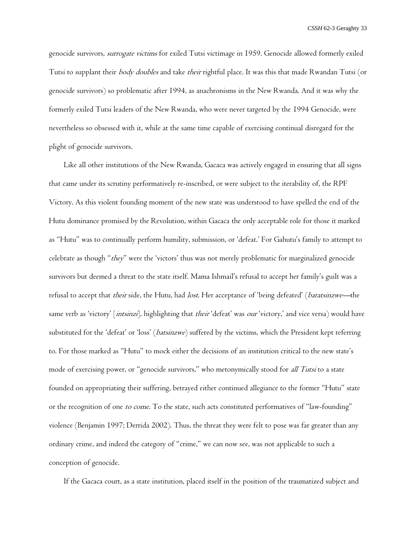genocide survivors, surrogate victims for exiled Tutsi victimage in 1959. Genocide allowed formerly exiled Tutsi to supplant their body doubles and take their rightful place. It was this that made Rwandan Tutsi (or genocide survivors) so problematic after 1994, as anachronisms in the New Rwanda. And it was why the formerly exiled Tutsi leaders of the New Rwanda, who were never targeted by the 1994 Genocide, were nevertheless so obsessed with it, while at the same time capable of exercising continual disregard for the plight of genocide survivors.

Like all other institutions of the New Rwanda, Gacaca was actively engaged in ensuring that all signs that came under its scrutiny performatively re-inscribed, or were subject to the iterability of, the RPF Victory. As this violent founding moment of the new state was understood to have spelled the end of the Hutu dominance promised by the Revolution, within Gacaca the only acceptable role for those it marked as "Hutu" was to continually perform humility, submission, or 'defeat.' For Gahutu's family to attempt to celebrate as though "they" were the 'victors' thus was not merely problematic for marginalized genocide survivors but deemed a threat to the state itself. Mama Ishmail's refusal to accept her family's guilt was a refusal to accept that their side, the Hutu, had lost. Her acceptance of 'being defeated' (baratsinzwe—the same verb as 'victory' [*intsinzi*], highlighting that *their* 'defeat' was *our* 'victory,' and vice versa) would have substituted for the 'defeat' or 'loss' (batsinzwe) suffered by the victims, which the President kept referring to. For those marked as "Hutu" to mock either the decisions of an institution critical to the new state's mode of exercising power, or "genocide survivors," who metonymically stood for all Tutsi to a state founded on appropriating their suffering, betrayed either continued allegiance to the former "Hutu" state or the recognition of one to come. To the state, such acts constituted performatives of "law-founding" violence (Benjamin 1997; Derrida 2002). Thus, the threat they were felt to pose was far greater than any ordinary crime, and indeed the category of "crime," we can now see, was not applicable to such a conception of genocide.

If the Gacaca court, as a state institution, placed itself in the position of the traumatized subject and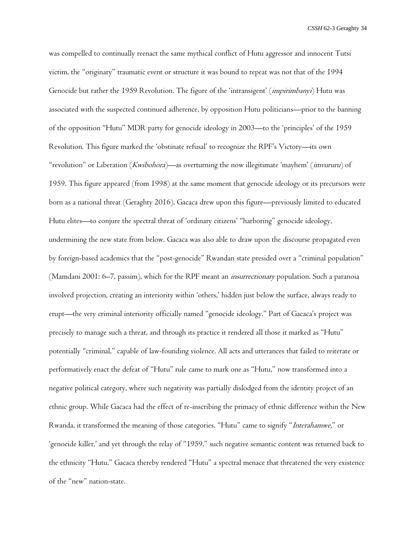was compelled to continually reenact the same mythical conflict of Hutu aggressor and innocent Tutsi victim, the "originary" traumatic event or structure it was bound to repeat was not that of the 1994 Genocide but rather the 1959 Revolution. The figure of the 'intransigent' (*impirimbanyi*) Hutu was associated with the suspected continued adherence, by opposition Hutu politicians—prior to the banning of the opposition "Hutu" MDR party for genocide ideology in 2003—to the 'principles' of the 1959 Revolution. This figure marked the 'obstinate refusal' to recognize the RPF's Victory—its own "revolution" or Liberation (Kwibohora)—as overturning the now illegitimate 'mayhem' (imvururu) of 1959. This figure appeared (from 1998) at the same moment that genocide ideology or its precursors were born as a national threat (Geraghty 2016). Gacaca drew upon this figure—previously limited to educated Hutu elites—to conjure the spectral threat of 'ordinary citizens' "harboring" genocide ideology, undermining the new state from below. Gacaca was also able to draw upon the discourse propagated even by foreign-based academics that the "post-genocide" Rwandan state presided over a "criminal population" (Mamdani 2001: 6–7, passim), which for the RPF meant an insurrectionary population. Such a paranoia involved projection, creating an interiority within 'others,' hidden just below the surface, always ready to erupt—the very criminal interiority officially named "genocide ideology." Part of Gacaca's project was precisely to manage such a threat, and through its practice it rendered all those it marked as "Hutu" potentially "criminal," capable of law-founding violence. All acts and utterances that failed to reiterate or performatively enact the defeat of "Hutu" rule came to mark one as "Hutu," now transformed into a negative political category, where such negativity was partially dislodged from the identity project of an ethnic group. While Gacaca had the effect of re-inscribing the primacy of ethnic difference within the New Rwanda, it transformed the meaning of those categories. "Hutu" came to signify "Interahamwe," or 'genocide killer,' and yet through the relay of "1959," such negative semantic content was returned back to the ethnicity "Hutu." Gacaca thereby rendered "Hutu" a spectral menace that threatened the very existence of the "new" nation-state.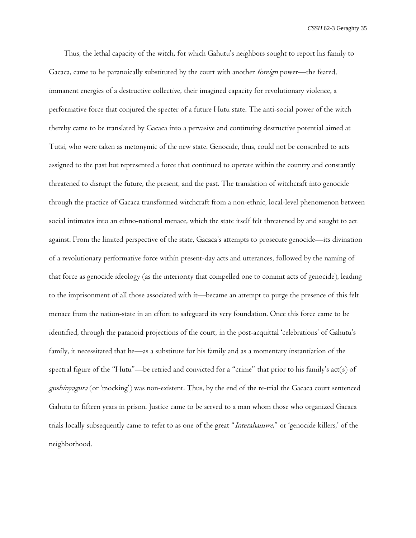Thus, the lethal capacity of the witch, for which Gahutu's neighbors sought to report his family to Gacaca, came to be paranoically substituted by the court with another foreign power—the feared, immanent energies of a destructive collective, their imagined capacity for revolutionary violence, a performative force that conjured the specter of a future Hutu state. The anti-social power of the witch thereby came to be translated by Gacaca into a pervasive and continuing destructive potential aimed at Tutsi, who were taken as metonymic of the new state. Genocide, thus, could not be conscribed to acts assigned to the past but represented a force that continued to operate within the country and constantly threatened to disrupt the future, the present, and the past. The translation of witchcraft into genocide through the practice of Gacaca transformed witchcraft from a non-ethnic, local-level phenomenon between social intimates into an ethno-national menace, which the state itself felt threatened by and sought to act against. From the limited perspective of the state, Gacaca's attempts to prosecute genocide—its divination of a revolutionary performative force within present-day acts and utterances, followed by the naming of that force as genocide ideology (as the interiority that compelled one to commit acts of genocide), leading to the imprisonment of all those associated with it—became an attempt to purge the presence of this felt menace from the nation-state in an effort to safeguard its very foundation. Once this force came to be identified, through the paranoid projections of the court, in the post-acquittal 'celebrations' of Gahutu's family, it necessitated that he—as a substitute for his family and as a momentary instantiation of the spectral figure of the "Hutu"—be retried and convicted for a "crime" that prior to his family's act(s) of gushinyagura (or 'mocking') was non-existent. Thus, by the end of the re-trial the Gacaca court sentenced Gahutu to fifteen years in prison. Justice came to be served to a man whom those who organized Gacaca trials locally subsequently came to refer to as one of the great "Interahamwe," or 'genocide killers,' of the neighborhood.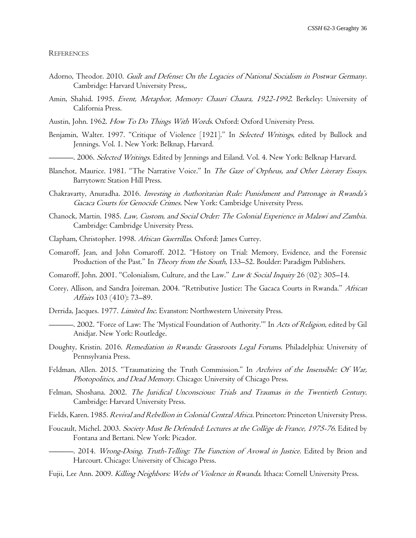#### **REFERENCES**

- Adorno, Theodor. 2010. Guilt and Defense: On the Legacies of National Socialism in Postwar Germany. Cambridge: Harvard University Press,.
- Amin, Shahid. 1995. Event, Metaphor, Memory: Chauri Chaura, 1922-1992. Berkeley: University of California Press.
- Austin, John. 1962. How To Do Things With Words. Oxford: Oxford University Press.
- Benjamin, Walter. 1997. "Critique of Violence [1921]." In Selected Writings, edited by Bullock and Jennings. Vol. 1. New York: Belknap, Harvard.
- —. 2006. Selected Writings. Edited by Jennings and Eiland. Vol. 4. New York: Belknap Harvard.
- Blanchot, Maurice. 1981. "The Narrative Voice." In The Gaze of Orpheus, and Other Literary Essays. Barrytown: Station Hill Press.
- Chakravarty, Anuradha. 2016. Investing in Authoritarian Rule: Punishment and Patronage in Rwanda's Gacaca Courts for Genocide Crimes. New York: Cambridge University Press.
- Chanock, Martin. 1985. Law, Custom, and Social Order: The Colonial Experience in Malawi and Zambia. Cambridge: Cambridge University Press.
- Clapham, Christopher. 1998. African Guerrillas. Oxford: James Currey.
- Comaroff, Jean, and John Comaroff. 2012. "History on Trial: Memory, Evidence, and the Forensic Production of the Past." In Theory from the South, 133-52. Boulder: Paradigm Publishers.
- Comaroff, John. 2001. "Colonialism, Culture, and the Law." Law & Social Inquiry 26 (02): 305–14.
- Corey, Allison, and Sandra Joireman. 2004. "Retributive Justice: The Gacaca Courts in Rwanda." African Affairs 103 (410): 73–89.
- Derrida, Jacques. 1977. Limited Inc. Evanston: Northwestern University Press.
- -. 2002. "Force of Law: The 'Mystical Foundation of Authority."" In Acts of Religion, edited by Gil Anidjar. New York: Routledge.
- Doughty, Kristin. 2016. Remediation in Rwanda: Grassroots Legal Forums. Philadelphia: University of Pennsylvania Press.
- Feldman, Allen. 2015. "Traumatizing the Truth Commission." In Archives of the Insensible: Of War, Photopolitics, and Dead Memory. Chicago: University of Chicago Press.
- Felman, Shoshana. 2002. The Juridical Unconscious: Trials and Traumas in the Twentieth Century. Cambridge: Harvard University Press.
- Fields, Karen. 1985. Revival and Rebellion in Colonial Central Africa. Princeton: Princeton University Press.
- Foucault, Michel. 2003. Society Must Be Defended: Lectures at the Collège de France, 1975-76. Edited by Fontana and Bertani. New York: Picador.
- -. 2014. *Wrong-Doing, Truth-Telling: The Function of Avowal in Justice*. Edited by Brion and Harcourt. Chicago: University of Chicago Press.
- Fujii, Lee Ann. 2009. Killing Neighbors: Webs of Violence in Rwanda. Ithaca: Cornell University Press.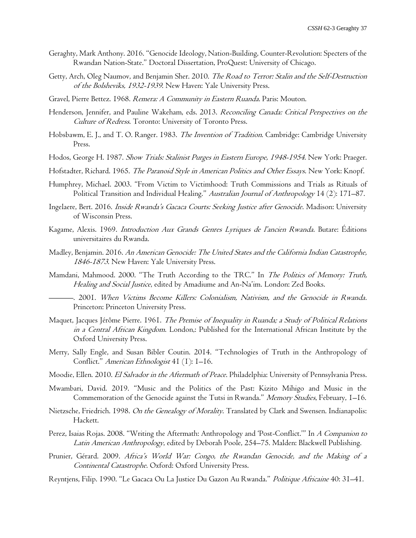- Geraghty, Mark Anthony. 2016. "Genocide Ideology, Nation-Building, Counter-Revolution: Specters of the Rwandan Nation-State." Doctoral Dissertation, ProQuest: University of Chicago.
- Getty, Arch, Oleg Naumov, and Benjamin Sher. 2010. The Road to Terror: Stalin and the Self-Destruction of the Bolsheviks, 1932-1939. New Haven: Yale University Press.
- Gravel, Pierre Bettez. 1968. Remera: A Community in Eastern Ruanda. Paris: Mouton.
- Henderson, Jennifer, and Pauline Wakeham, eds. 2013. Reconciling Canada: Critical Perspectives on the Culture of Redress. Toronto: University of Toronto Press.
- Hobsbawm, E. J., and T. O. Ranger. 1983. *The Invention of Tradition*. Cambridge: Cambridge University Press.
- Hodos, George H. 1987. Show Trials: Stalinist Purges in Eastern Europe, 1948-1954. New York: Praeger.
- Hofstadter, Richard. 1965. The Paranoid Style in American Politics and Other Essays. New York: Knopf.
- Humphrey, Michael. 2003. "From Victim to Victimhood: Truth Commissions and Trials as Rituals of Political Transition and Individual Healing." Australian Journal of Anthropology 14 (2): 171-87.
- Ingelaere, Bert. 2016. Inside Rwanda's Gacaca Courts: Seeking Justice after Genocide. Madison: University of Wisconsin Press.
- Kagame, Alexis. 1969. Introduction Aux Grands Genres Lyriques de l'ancien Rwanda. Butare: Éditions universitaires du Rwanda.
- Madley, Benjamin. 2016. An American Genocide: The United States and the California Indian Catastrophe, 1846-1873. New Haven: Yale University Press.
- Mamdani, Mahmood. 2000. "The Truth According to the TRC." In The Politics of Memory: Truth, Healing and Social Justice, edited by Amadiume and An-Na'im. London: Zed Books.
	- ———. 2001. When Victims Become Killers: Colonialism, Nativism, and the Genocide in Rwanda. Princeton: Princeton University Press.
- Maquet, Jacques Jérôme Pierre. 1961. The Premise of Inequality in Ruanda; a Study of Political Relations in a Central African Kingdom. London,: Published for the International African Institute by the Oxford University Press.
- Merry, Sally Engle, and Susan Bibler Coutin. 2014. "Technologies of Truth in the Anthropology of Conflict." American Ethnologist 41 (1): 1–16.
- Moodie, Ellen. 2010. El Salvador in the Aftermath of Peace. Philadelphia: University of Pennsylvania Press.
- Mwambari, David. 2019. "Music and the Politics of the Past: Kizito Mihigo and Music in the Commemoration of the Genocide against the Tutsi in Rwanda." Memory Studies, February, I-16.
- Nietzsche, Friedrich. 1998. On the Genealogy of Morality. Translated by Clark and Swensen. Indianapolis: Hackett.
- Perez, Isaias Rojas. 2008. "Writing the Aftermath: Anthropology and 'Post-Conflict.'" In A Companion to Latin American Anthropology, edited by Deborah Poole, 254–75. Malden: Blackwell Publishing.
- Prunier, Gérard. 2009. Africa's World War: Congo, the Rwandan Genocide, and the Making of a Continental Catastrophe. Oxford: Oxford University Press.
- Reyntjens, Filip. 1990. "Le Gacaca Ou La Justice Du Gazon Au Rwanda." Politique Africaine 40: 31–41.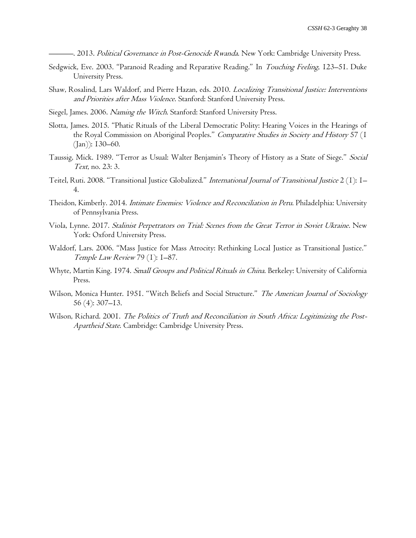-. 2013. Political Governance in Post-Genocide Rwanda. New York: Cambridge University Press.

- Sedgwick, Eve. 2003. "Paranoid Reading and Reparative Reading." In Touching Feeling, 123-51. Duke University Press.
- Shaw, Rosalind, Lars Waldorf, and Pierre Hazan, eds. 2010. Localizing Transitional Justice: Interventions and Priorities after Mass Violence. Stanford: Stanford University Press.
- Siegel, James. 2006. Naming the Witch. Stanford: Stanford University Press.
- Slotta, James. 2015. "Phatic Rituals of the Liberal Democratic Polity: Hearing Voices in the Hearings of the Royal Commission on Aboriginal Peoples." Comparative Studies in Society and History 57 (1 (Jan)): 130–60.
- Taussig, Mick. 1989. "Terror as Usual: Walter Benjamin's Theory of History as a State of Siege." Social Text, no. 23: 3.
- Teitel, Ruti. 2008. "Transitional Justice Globalized." International Journal of Transitional Justice 2 (1): 1– 4.
- Theidon, Kimberly. 2014. *Intimate Enemies: Violence and Reconciliation in Peru*. Philadelphia: University of Pennsylvania Press.
- Viola, Lynne. 2017. Stalinist Perpetrators on Trial: Scenes from the Great Terror in Soviet Ukraine. New York: Oxford University Press.
- Waldorf, Lars. 2006. "Mass Justice for Mass Atrocity: Rethinking Local Justice as Transitional Justice." Temple Law Review 79 (1): 1–87.
- Whyte, Martin King. 1974. Small Groups and Political Rituals in China. Berkeley: University of California Press.
- Wilson, Monica Hunter. 1951. "Witch Beliefs and Social Structure." The American Journal of Sociology 56 (4): 307–13.
- Wilson, Richard. 2001. The Politics of Truth and Reconciliation in South Africa: Legitimizing the Post-Apartheid State. Cambridge: Cambridge University Press.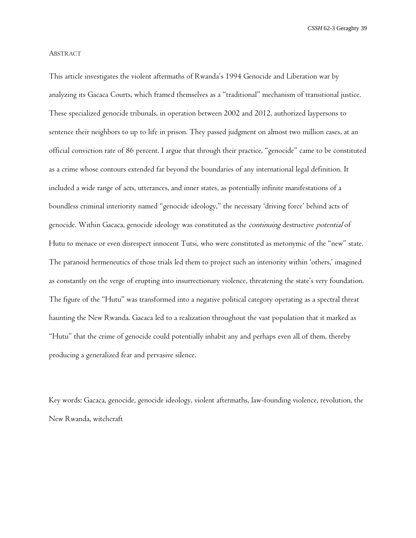#### ABSTRACT

This article investigates the violent aftermaths of Rwanda's 1994 Genocide and Liberation war by analyzing its Gacaca Courts, which framed themselves as a "traditional" mechanism of transitional justice. These specialized genocide tribunals, in operation between 2002 and 2012, authorized laypersons to sentence their neighbors to up to life in prison. They passed judgment on almost two million cases, at an official conviction rate of 86 percent. I argue that through their practice, "genocide" came to be constituted as a crime whose contours extended far beyond the boundaries of any international legal definition. It included a wide range of acts, utterances, and inner states, as potentially infinite manifestations of a boundless criminal interiority named "genocide ideology," the necessary 'driving force' behind acts of genocide. Within Gacaca, genocide ideology was constituted as the *continuing* destructive *potential* of Hutu to menace or even disrespect innocent Tutsi, who were constituted as metonymic of the "new" state. The paranoid hermeneutics of those trials led them to project such an interiority within 'others,' imagined as constantly on the verge of erupting into insurrectionary violence, threatening the state's very foundation. The figure of the "Hutu" was transformed into a negative political category operating as a spectral threat haunting the New Rwanda. Gacaca led to a realization throughout the vast population that it marked as "Hutu" that the crime of genocide could potentially inhabit any and perhaps even all of them, thereby producing a generalized fear and pervasive silence.

Key words: Gacaca, genocide, genocide ideology, violent aftermaths, law-founding violence, revolution, the New Rwanda, witchcraft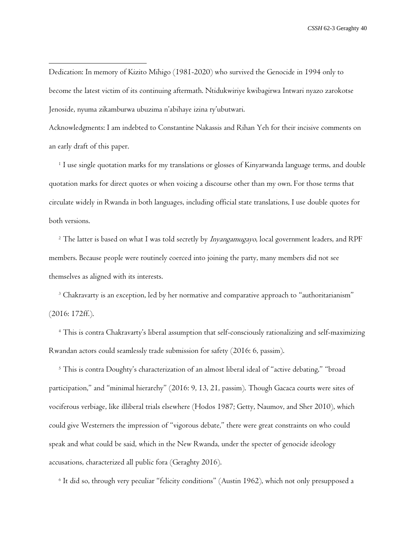Dedication: In memory of Kizito Mihigo (1981-2020) who survived the Genocide in 1994 only to become the latest victim of its continuing aftermath. Ntidukwiriye kwibagirwa Intwari nyazo zarokotse Jenoside, nyuma zikamburwa ubuzima n'abihaye izina ry'ubutwari.

Acknowledgments: I am indebted to Constantine Nakassis and Rihan Yeh for their incisive comments on an early draft of this paper.

<sup>1</sup> I use single quotation marks for my translations or glosses of Kinyarwanda language terms, and double quotation marks for direct quotes or when voicing a discourse other than my own. For those terms that circulate widely in Rwanda in both languages, including official state translations, I use double quotes for both versions.

<sup>2</sup> The latter is based on what I was told secretly by *Inyangamugayo*, local government leaders, and RPF members. Because people were routinely coerced into joining the party, many members did not see themselves as aligned with its interests.

<sup>3</sup> Chakravarty is an exception, led by her normative and comparative approach to "authoritarianism" (2016: 172ff.).

<sup>4</sup> This is contra Chakravarty's liberal assumption that self-consciously rationalizing and self-maximizing Rwandan actors could seamlessly trade submission for safety (2016: 6, passim).

<sup>5</sup> This is contra Doughty's characterization of an almost liberal ideal of "active debating," "broad participation," and "minimal hierarchy" (2016: 9, 13, 21, passim). Though Gacaca courts were sites of vociferous verbiage, like illiberal trials elsewhere (Hodos 1987; Getty, Naumov, and Sher 2010), which could give Westerners the impression of "vigorous debate," there were great constraints on who could speak and what could be said, which in the New Rwanda, under the specter of genocide ideology accusations, characterized all public fora (Geraghty 2016).

6 It did so, through very peculiar "felicity conditions" (Austin 1962), which not only presupposed a